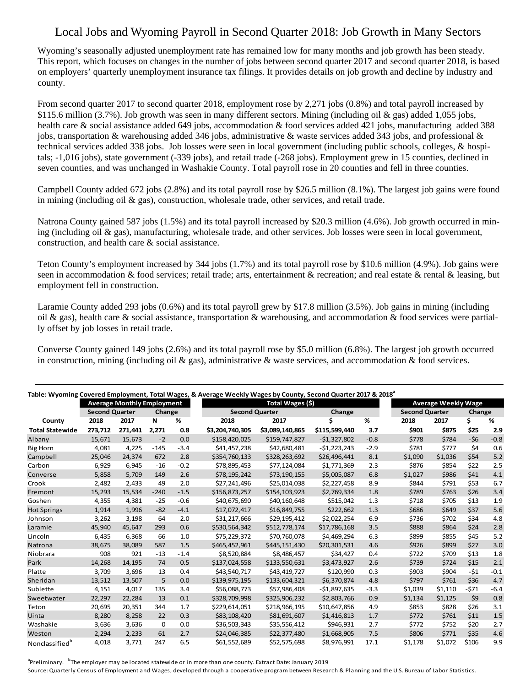## Local Jobs and Wyoming Payroll in Second Quarter 2018: Job Growth in Many Sectors

Wyoming's seasonally adjusted unemployment rate has remained low for many months and job growth has been steady. This report, which focuses on changes in the number of jobs between second quarter 2017 and second quarter 2018, is based on employers' quarterly unemployment insurance tax filings. It provides details on job growth and decline by industry and county.

From second quarter 2017 to second quarter 2018, employment rose by 2,271 jobs (0.8%) and total payroll increased by \$115.6 million (3.7%). Job growth was seen in many different sectors. Mining (including oil & gas) added 1,055 jobs, health care & social assistance added 649 jobs, accommodation & food services added 421 jobs, manufacturing added 388 jobs, transportation & warehousing added 346 jobs, administrative & waste services added 343 jobs, and professional & technical services added 338 jobs. Job losses were seen in local government (including public schools, colleges, & hospitals; -1,016 jobs), state government (-339 jobs), and retail trade (-268 jobs). Employment grew in 15 counties, declined in seven counties, and was unchanged in Washakie County. Total payroll rose in 20 counties and fell in three counties.

Campbell County added 672 jobs (2.8%) and its total payroll rose by \$26.5 million (8.1%). The largest job gains were found in mining (including oil  $\&$  gas), construction, wholesale trade, other services, and retail trade.

Natrona County gained 587 jobs (1.5%) and its total payroll increased by \$20.3 million (4.6%). Job growth occurred in mining (including oil  $\&$  gas), manufacturing, wholesale trade, and other services. Job losses were seen in local government, construction, and health care & social assistance.

Teton County's employment increased by 344 jobs (1.7%) and its total payroll rose by \$10.6 million (4.9%). Job gains were seen in accommodation & food services; retail trade; arts, entertainment & recreation; and real estate & rental & leasing, but employment fell in construction.

Laramie County added 293 jobs (0.6%) and its total payroll grew by \$17.8 million (3.5%). Job gains in mining (including oil & gas), health care & social assistance, transportation & warehousing, and accommodation & food services were partially offset by job losses in retail trade.

Converse County gained 149 jobs (2.6%) and its total payroll rose by \$5.0 million (6.8%). The largest job growth occurred in construction, mining (including oil  $\&$  gas), administrative  $\&$  waste services, and accommodation  $\&$  food services.

| Table: Wyoming Covered Employment, Total Wages, & Average Weekly Wages by County, Second Quarter 2017 & 2018 <sup>ª</sup> |                       |         |        |        |                       |                 |               |        |         |                            |        |        |  |
|---------------------------------------------------------------------------------------------------------------------------|-----------------------|---------|--------|--------|-----------------------|-----------------|---------------|--------|---------|----------------------------|--------|--------|--|
| <b>Average Monthly Employment</b>                                                                                         |                       |         |        |        | Total Wages (\$)      |                 |               |        |         | <b>Average Weekly Wage</b> |        |        |  |
|                                                                                                                           | <b>Second Quarter</b> |         | Change |        | <b>Second Quarter</b> |                 | Change        |        |         | <b>Second Quarter</b>      |        | Change |  |
| County                                                                                                                    | 2018                  | 2017    | N      | %      | 2018                  | 2017            | Ś             | %      | 2018    | 2017                       | \$     | %      |  |
| <b>Total Statewide</b>                                                                                                    | 273.712               | 271,441 | 2,271  | 0.8    | \$3,204,740,305       | \$3,089,140,865 | \$115,599,440 | 3.7    | \$901   | \$875                      | \$25   | 2.9    |  |
| Albany                                                                                                                    | 15,671                | 15,673  | $-2$   | 0.0    | \$158,420,025         | \$159,747,827   | $-$1,327,802$ | $-0.8$ | \$778   | \$784                      | $-56$  | $-0.8$ |  |
| <b>Big Horn</b>                                                                                                           | 4,081                 | 4,225   | $-145$ | $-3.4$ | \$41,457,238          | \$42,680,481    | $-51,223,243$ | $-2.9$ | \$781   | \$777                      | \$4    | 0.6    |  |
| Campbell                                                                                                                  | 25,046                | 24,374  | 672    | 2.8    | \$354,760,133         | \$328,263,692   | \$26,496,441  | 8.1    | \$1,090 | \$1,036                    | \$54   | $5.2$  |  |
| Carbon                                                                                                                    | 6,929                 | 6,945   | $-16$  | $-0.2$ | \$78,895,453          | \$77,124,084    | \$1,771,369   | 2.3    | \$876   | \$854                      | \$22   | 2.5    |  |
| Converse                                                                                                                  | 5.858                 | 5,709   | 149    | 2.6    | \$78,195,242          | \$73,190,155    | \$5,005,087   | 6.8    | \$1,027 | \$986                      | \$41   | 4.1    |  |
| Crook                                                                                                                     | 2,482                 | 2,433   | 49     | 2.0    | \$27,241,496          | \$25,014,038    | \$2,227,458   | 8.9    | \$844   | \$791                      | \$53   | 6.7    |  |
| Fremont                                                                                                                   | 15,293                | 15,534  | $-240$ | $-1.5$ | \$156,873,257         | \$154,103,923   | \$2,769,334   | 1.8    | \$789   | \$763                      | \$26   | 3.4    |  |
| Goshen                                                                                                                    | 4,355                 | 4,381   | $-25$  | $-0.6$ | \$40,675,690          | \$40,160,648    | \$515,042     | 1.3    | \$718   | \$705                      | \$13   | 1.9    |  |
| <b>Hot Springs</b>                                                                                                        | 1.914                 | 1.996   | $-82$  | $-4.1$ | \$17.072.417          | \$16,849,755    | \$222.662     | 1.3    | \$686   | \$649                      | \$37   | 5.6    |  |
| Johnson                                                                                                                   | 3,262                 | 3,198   | 64     | 2.0    | \$31,217,666          | \$29,195,412    | \$2,022,254   | 6.9    | \$736   | \$702                      | \$34   | 4.8    |  |
| Laramie                                                                                                                   | 45,940                | 45,647  | 293    | 0.6    | \$530,564,342         | \$512,778,174   | \$17,786,168  | 3.5    | \$888   | \$864                      | \$24   | 2.8    |  |
| Lincoln                                                                                                                   | 6,435                 | 6,368   | 66     | 1.0    | \$75,229,372          | \$70,760,078    | \$4.469.294   | 6.3    | \$899   | \$855                      | \$45   | 5.2    |  |
| Natrona                                                                                                                   | 38,675                | 38,089  | 587    | 1.5    | \$465,452,961         | \$445,151,430   | \$20,301,531  | 4.6    | \$926   | \$899                      | \$27   | 3.0    |  |
| Niobrara                                                                                                                  | 908                   | 921     | $-13$  | $-1.4$ | \$8,520,884           | \$8,486,457     | \$34,427      | 0.4    | \$722   | \$709                      | \$13   | 1.8    |  |
| Park                                                                                                                      | 14,268                | 14,195  | 74     | 0.5    | \$137,024,558         | \$133,550,631   | \$3,473,927   | 2.6    | \$739   | \$724                      | \$15   | 2.1    |  |
| Platte                                                                                                                    | 3,709                 | 3,696   | 13     | 0.4    | \$43,540,717          | \$43,419,727    | \$120,990     | 0.3    | \$903   | \$904                      | $-51$  | $-0.1$ |  |
| Sheridan                                                                                                                  | 13,512                | 13,507  | 5      | 0.0    | \$139,975,195         | \$133,604,321   | \$6,370,874   | 4.8    | \$797   | \$761                      | \$36   | 4.7    |  |
| Sublette                                                                                                                  | 4,151                 | 4,017   | 135    | 3.4    | \$56,088,773          | \$57,986,408    | $-$1,897,635$ | $-3.3$ | \$1,039 | \$1,110                    | $-571$ | $-6.4$ |  |
| Sweetwater                                                                                                                | 22,297                | 22,284  | 13     | 0.1    | \$328,709,998         | \$325,906,232   | \$2,803,766   | 0.9    | \$1,134 | \$1,125                    | \$9    | 0.8    |  |
| Teton                                                                                                                     | 20,695                | 20,351  | 344    | 1.7    | \$229,614,051         | \$218,966,195   | \$10,647,856  | 4.9    | \$853   | \$828                      | \$26   | 3.1    |  |
| Uinta                                                                                                                     | 8,280                 | 8,258   | 22     | 0.3    | \$83,108,420          | \$81,691,607    | \$1,416,813   | 1.7    | \$772   | \$761                      | \$11   | 1.5    |  |
| Washakie                                                                                                                  | 3,636                 | 3,636   | 0      | 0.0    | \$36,503,343          | \$35,556,412    | \$946,931     | 2.7    | \$772   | \$752                      | \$20   | 2.7    |  |
| Weston                                                                                                                    | 2,294                 | 2,233   | 61     | 2.7    | \$24,046,385          | \$22,377,480    | \$1,668,905   | 7.5    | \$806   | \$771                      | \$35   | 4.6    |  |
| Nonclassified <sup>b</sup>                                                                                                | 4,018                 | 3,771   | 247    | 6.5    | \$61,552,689          | \$52,575,698    | \$8,976,991   | 17.1   | \$1,178 | \$1,072                    | \$106  | 9.9    |  |

<sup>a</sup>Preliminary. <sup>b</sup>The employer may be located statewide or in more than one county. Extract Date: January 2019

Source: Quarterly Census of Employment and Wages, developed through a cooperative program between Research & Planning and the U.S. Bureau of Labor Statistics.